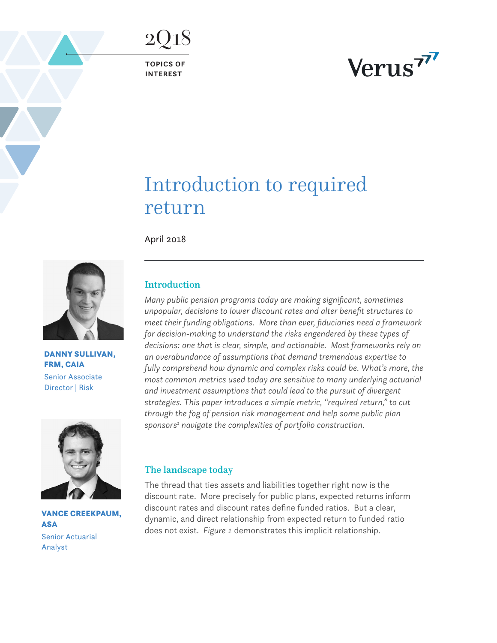**TOPICS OF INTEREST**

2Q18

# Verus<sup>77</sup>

# Introduction to required return

April 2018



DANNY SULLIVAN, FRM, CAIA Senior Associate Director | Risk



VANCE CREEKPAUM, **ASA** Senior Actuarial Analyst

# Introduction

*Many public pension programs today are making significant, sometimes unpopular, decisions to lower discount rates and alter benefit structures to meet their funding obligations. More than ever, fiduciaries need a framework for decision-making to understand the risks engendered by these types of decisions: one that is clear, simple, and actionable. Most frameworks rely on an overabundance of assumptions that demand tremendous expertise to fully comprehend how dynamic and complex risks could be. What's more, the most common metrics used today are sensitive to many underlying actuarial and investment assumptions that could lead to the pursuit of divergent strategies. This paper introduces a simple metric, "required return," to cut through the fog of pension risk management and help some public plan*  sponsors<sup>1</sup> navigate the complexities of portfolio construction.

# The landscape today

The thread that ties assets and liabilities together right now is the discount rate. More precisely for public plans, expected returns inform discount rates and discount rates define funded ratios. But a clear, dynamic, and direct relationship from expected return to funded ratio does not exist. *Figure 1* demonstrates this implicit relationship.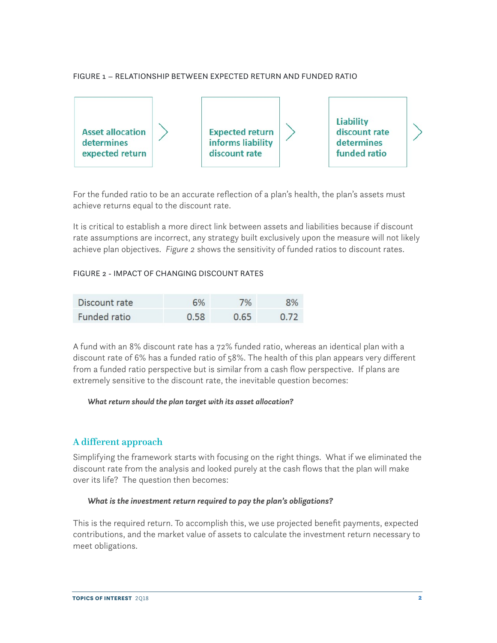### FIGURE 1 – RELATIONSHIP BETWEEN EXPECTED RETURN AND FUNDED RATIO



For the funded ratio to be an accurate reflection of a plan's health, the plan's assets must achieve returns equal to the discount rate.

It is critical to establish a more direct link between assets and liabilities because if discount rate assumptions are incorrect, any strategy built exclusively upon the measure will not likely achieve plan objectives. *Figure 2* shows the sensitivity of funded ratios to discount rates.

#### FIGURE 2 - IMPACT OF CHANGING DISCOUNT RATES

| Discount rate | 6%   | 7%   | 8%   |
|---------------|------|------|------|
| Funded ratio  | 0.58 | 0.65 | 0.72 |

A fund with an 8% discount rate has a 72% funded ratio, whereas an identical plan with a discount rate of 6% has a funded ratio of 58%. The health of this plan appears very different from a funded ratio perspective but is similar from a cash flow perspective. If plans are extremely sensitive to the discount rate, the inevitable question becomes:

#### *What return should the plan target with its asset allocation?*

# A different approach

Simplifying the framework starts with focusing on the right things. What if we eliminated the discount rate from the analysis and looked purely at the cash flows that the plan will make over its life? The question then becomes:

#### *What is the investment return required to pay the plan's obligations?*

This is the required return. To accomplish this, we use projected benefit payments, expected contributions, and the market value of assets to calculate the investment return necessary to meet obligations.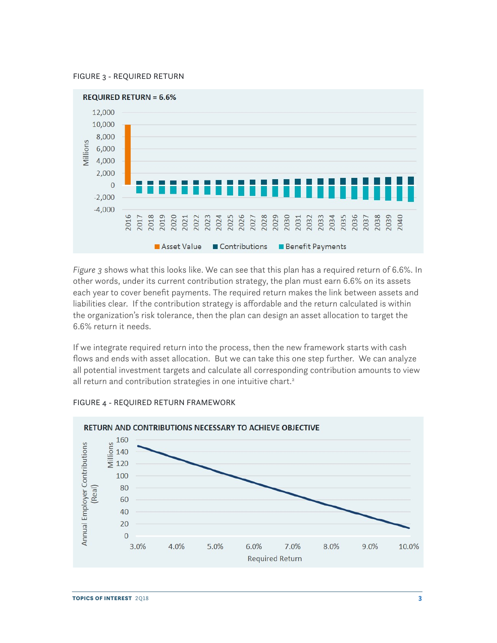



*Figure 3* shows what this looks like. We can see that this plan has a required return of 6.6%. In other words, under its current contribution strategy, the plan must earn 6.6% on its assets each year to cover benefit payments. The required return makes the link between assets and liabilities clear. If the contribution strategy is affordable and the return calculated is within the organization's risk tolerance, then the plan can design an asset allocation to target the 6.6% return it needs.

If we integrate required return into the process, then the new framework starts with cash flows and ends with asset allocation. But we can take this one step further. We can analyze all potential investment targets and calculate all corresponding contribution amounts to view all return and contribution strategies in one intuitive chart.<sup>2</sup>



#### FIGURE 4 - REQUIRED RETURN FRAMEWORK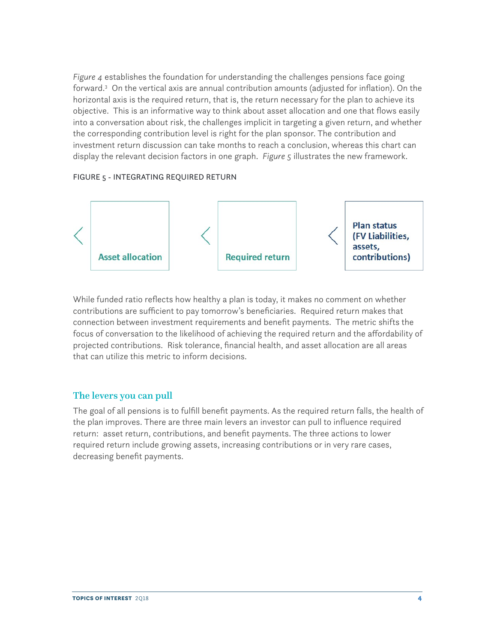*Figure 4* establishes the foundation for understanding the challenges pensions face going forward.3 On the vertical axis are annual contribution amounts (adjusted for inflation). On the horizontal axis is the required return, that is, the return necessary for the plan to achieve its objective. This is an informative way to think about asset allocation and one that flows easily into a conversation about risk, the challenges implicit in targeting a given return, and whether the corresponding contribution level is right for the plan sponsor. The contribution and investment return discussion can take months to reach a conclusion, whereas this chart can display the relevant decision factors in one graph. *Figure 5* illustrates the new framework.

#### FIGURE 5 - INTEGRATING REQUIRED RETURN



While funded ratio reflects how healthy a plan is today, it makes no comment on whether contributions are sufficient to pay tomorrow's beneficiaries. Required return makes that connection between investment requirements and benefit payments. The metric shifts the focus of conversation to the likelihood of achieving the required return and the affordability of projected contributions. Risk tolerance, financial health, and asset allocation are all areas that can utilize this metric to inform decisions.

### The levers you can pull

The goal of all pensions is to fulfill benefit payments. As the required return falls, the health of the plan improves. There are three main levers an investor can pull to influence required return: asset return, contributions, and benefit payments. The three actions to lower required return include growing assets, increasing contributions or in very rare cases, decreasing benefit payments.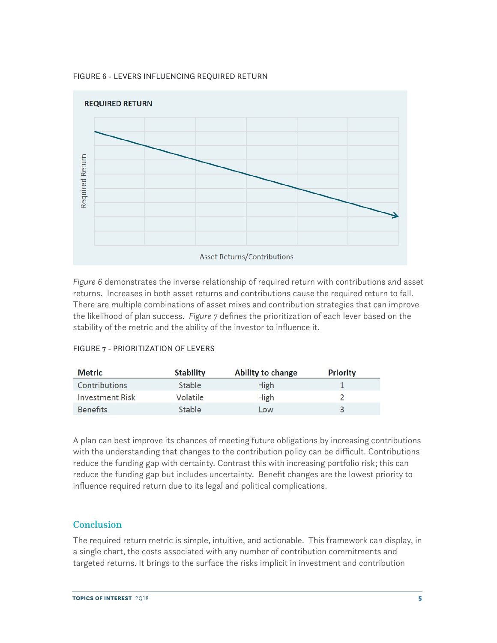



*Figure 6* demonstrates the inverse relationship of required return with contributions and asset returns. Increases in both asset returns and contributions cause the required return to fall. There are multiple combinations of asset mixes and contribution strategies that can improve the likelihood of plan success. *Figure 7* defines the prioritization of each lever based on the stability of the metric and the ability of the investor to influence it.

| <b>Metric</b>          | <b>Stability</b> | <b>Ability to change</b> | <b>Priority</b> |  |
|------------------------|------------------|--------------------------|-----------------|--|
| Contributions          | Stable           | <b>High</b>              |                 |  |
| <b>Investment Risk</b> | Volatile         | <b>High</b>              |                 |  |
| <b>Benefits</b>        | Stable           | Low                      |                 |  |

### FIGURE 7 - PRIORITIZATION OF LEVERS

A plan can best improve its chances of meeting future obligations by increasing contributions with the understanding that changes to the contribution policy can be difficult. Contributions reduce the funding gap with certainty. Contrast this with increasing portfolio risk; this can reduce the funding gap but includes uncertainty. Benefit changes are the lowest priority to influence required return due to its legal and political complications.

# Conclusion

The required return metric is simple, intuitive, and actionable. This framework can display, in a single chart, the costs associated with any number of contribution commitments and targeted returns. It brings to the surface the risks implicit in investment and contribution